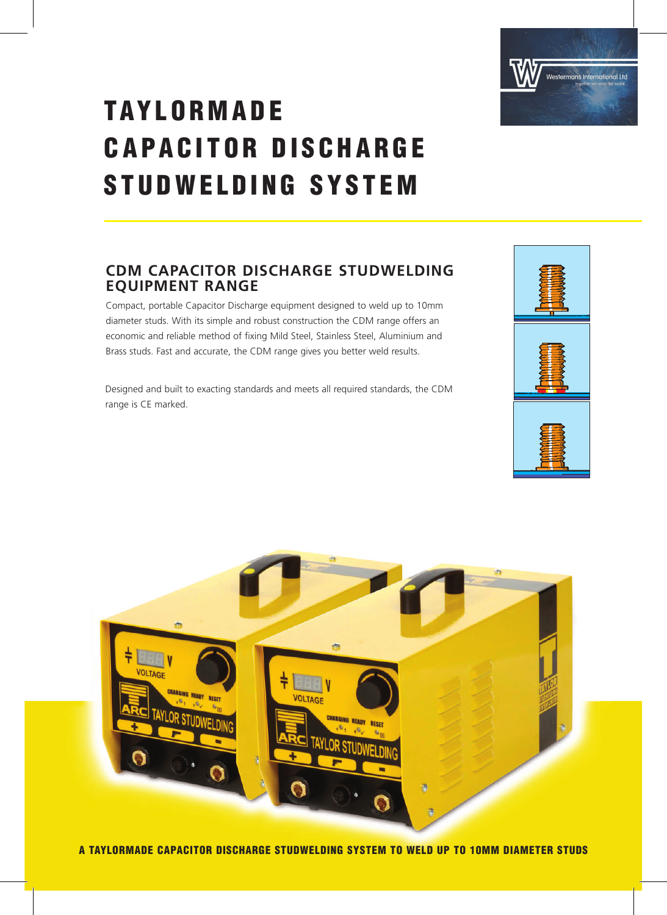

## **TAYLORMADE CAPACITOR DISCHARGE** STUDWELDING SYSTEM

### **CDM CAPACITOR DISCHARGE STUDWELDING EQUIPMENT RANGE**

Compact, portable Capacitor Discharge equipment designed to weld up to 10mm diameter studs. With its simple and robust construction the CDM range offers an economic and reliable method of fixing Mild Steel, Stainless Steel, Aluminium and Brass studs. Fast and accurate, the CDM range gives you better weld results.

Designed and built to exacting standards and meets all required standards, the CDM range is CE marked.





A TAYLORMADE CAPACITOR DISCHARGE STUDWELDING SYSTEM TO WELD UP TO 10MM DIAMETER STUDS